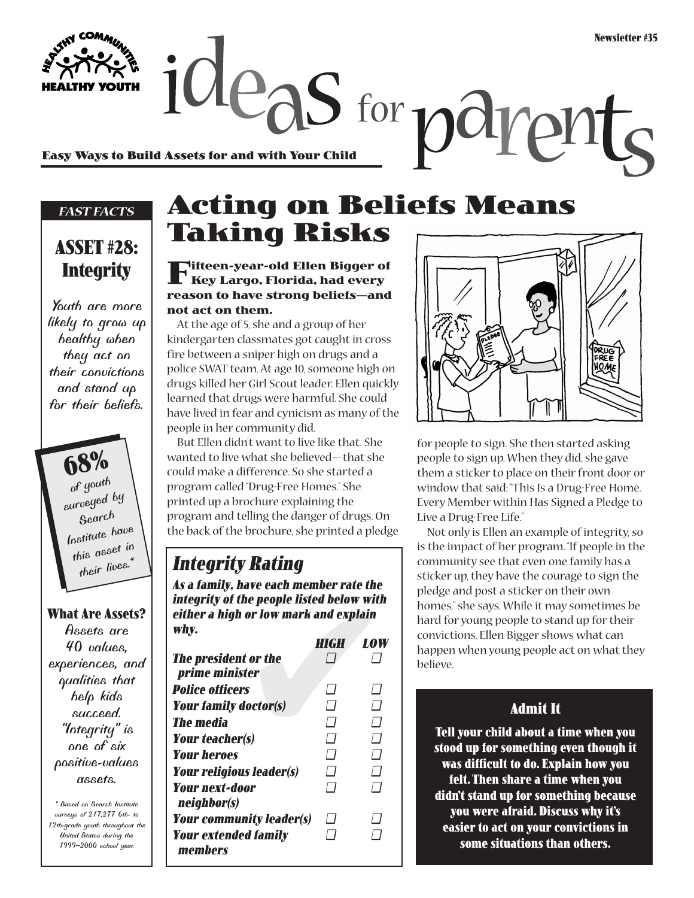**Easy Ways to Build Assets for and with Your Child**

#### *FAST FACTS*

### **ASSET #28: Integrity**

*Youth are more likely to grow up healthy when they act on their convictions and stand up for their beliefs.*

**68%** *of youth surveyed by Search Institute have this asset in their lives.\**

#### **What Are Assets?**

*Assets are 40 values, experiences, and qualities that help kids succeed. "Integrity" is one of six positive-values assets.*

*\* Based on Search Institute surveys of 217,277 6th- to 12th-grade youth throughout the United States during the 1999–2000 school year.*

### **Acting on Beliefs Means Taking Risks**

 $2e$  as for  $p$ d

**Fifteen-year-old Ellen Bigger of Key Largo, Florida, had every reason to have strong beliefs—and not act on them.**

At the age of 5, she and a group of her kindergarten classmates got caught in cross fire between a sniper high on drugs and a police SWAT team. At age 10, someone high on drugs killed her Girl Scout leader. Ellen quickly learned that drugs were harmful. She could have lived in fear and cynicism as many of the people in her community did.

But Ellen didn't want to live like that. She wanted to live what she believed—that she could make a difference. So she started a program called "Drug-Free Homes." She printed up a brochure explaining the program and telling the danger of drugs. On the back of the brochure, she printed a pledge

### **Integrity Rating**

**As a family, have each member rate the integrity of the people listed below with either a high or low mark and explain why.** 

| As a family, have each member rate the<br>integrity of the people listed below with<br>either a high or low mark and explain<br>why. |             |                |
|--------------------------------------------------------------------------------------------------------------------------------------|-------------|----------------|
|                                                                                                                                      | <b>HIGH</b> | <b>LOW</b>     |
| <b>The president or the</b><br>prime minister                                                                                        |             |                |
| <b>Police officers</b>                                                                                                               | 71          | $\prime\prime$ |
| <b>Your family doctor(s)</b>                                                                                                         | $\Box$      | $\Box$         |
| <b>The media</b>                                                                                                                     | 7           | $\sqcap$       |
| <b>Your teacher(s)</b>                                                                                                               | $\Box$      | $\Box$         |
| <b>Your heroes</b>                                                                                                                   | $\Box$      | $\Box$         |
| <b>Your religious leader(s)</b>                                                                                                      | $\Box$      | $\sqcap$       |
| <b>Your next-door</b><br>neighbor(s)                                                                                                 | $\sqcap$    | $\Box$         |
| <b>Your community leader(s)</b>                                                                                                      | $\Box$      | - 1            |
| <b>Your extended family</b><br>members                                                                                               |             |                |



for people to sign. She then started asking people to sign up. When they did, she gave them a sticker to place on their front door or window that said: "This Is a Drug-Free Home. Every Member within Has Signed a Pledge to Live a Drug-Free Life."

Not only is Ellen an example of integrity, so is the impact of her program. "If people in the community see that even one family has a sticker up, they have the courage to sign the pledge and post a sticker on their own homes," she says. While it may sometimes be hard for young people to stand up for their convictions, Ellen Bigger shows what can happen when young people act on what they believe.

### **Admit It**

**Tell your child about a time when you stood up for something even though it was difficult to do. Explain how you felt. Then share a time when you didn't stand up for something because you were afraid. Discuss why it's easier to act on your convictions in some situations than others.**